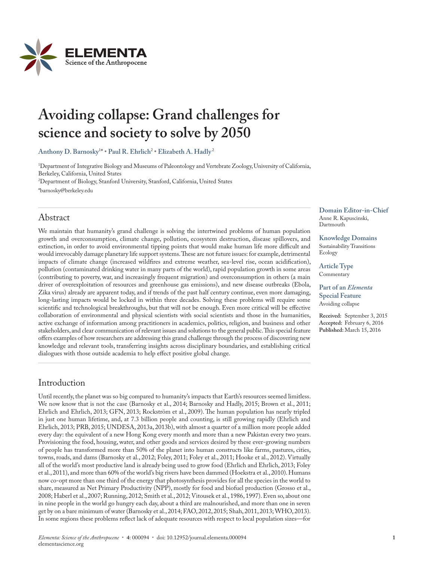

# **Avoiding collapse: Grand challenges for**  science and society to solve by 2050

**Anthony D. Barnosky**<sup>1</sup> \* **• Paul R. Ehrlich**<sup>2</sup> **• Elizabeth A. Hadly** <sup>2</sup>

1 Department of Integrative Biology and Museums of Paleontology and Vertebrate Zoology, University of California, Berkeley, California, United States 2 Department of Biology, Stanford University, Stanford, California, United States

\*barnosky@berkeley.edu

# Abstract

We maintain that humanity's grand challenge is solving the intertwined problems of human population growth and overconsumption, climate change, pollution, ecosystem destruction, disease spillovers, and extinction, in order to avoid environmental tipping points that would make human life more difficult and would irrevocably damage planetary life support systems. These are not future issues: for example, detrimental impacts of climate change (increased wildfires and extreme weather, sea-level rise, ocean acidification), pollution (contaminated drinking water in many parts of the world), rapid population growth in some areas (contributing to poverty, war, and increasingly frequent migration) and overconsumption in others (a main driver of overexploitation of resources and greenhouse gas emissions), and new disease outbreaks (Ebola, Zika virus) already are apparent today, and if trends of the past half century continue, even more damaging, long-lasting impacts would be locked in within three decades. Solving these problems will require some scientific and technological breakthroughs, but that will not be enough. Even more critical will be effective collaboration of environmental and physical scientists with social scientists and those in the humanities, active exchange of information among practitioners in academics, politics, religion, and business and other stakeholders, and clear communication of relevant issues and solutions to the general public. This special feature offers examples of how researchers are addressing this grand challenge through the process of discovering new knowledge and relevant tools, transferring insights across disciplinary boundaries, and establishing critical dialogues with those outside academia to help effect positive global change.

# Introduction

Until recently, the planet was so big compared to humanity's impacts that Earth's resources seemed limitless. We now know that is not the case (Barnosky et al., 2014; Barnosky and Hadly, 2015; Brown et al., 2011; Ehrlich and Ehrlich, 2013; GFN, 2013; Rockström et al., 2009). The human population has nearly tripled in just one human lifetime, and, at 7.3 billion people and counting, is still growing rapidly (Ehrlich and Ehrlich, 2013; PRB, 2015; UNDESA, 2013a, 2013b), with almost a quarter of a million more people added every day: the equivalent of a new Hong Kong every month and more than a new Pakistan every two years. Provisioning the food, housing, water, and other goods and services desired by these ever-growing numbers of people has transformed more than 50% of the planet into human constructs like farms, pastures, cities, towns, roads, and dams (Barnosky et al., 2012; Foley, 2011; Foley et al., 2011; Hooke et al., 2012). Virtually all of the world's most productive land is already being used to grow food (Ehrlich and Ehrlich, 2013; Foley et al., 2011), and more than 60% of the world's big rivers have been dammed (Hoekstra et al., 2010). Humans now co-opt more than one third of the energy that photosynthesis provides for all the species in the world to share, measured as Net Primary Productivity (NPP), mostly for food and biofuel production (Grosso et al., 2008; Haberl et al., 2007; Running, 2012; Smith et al., 2012; Vitousek et al., 1986, 1997). Even so, about one in nine people in the world go hungry each day, about a third are malnourished, and more than one in seven get by on a bare minimum of water (Barnosky et al., 2014; FAO, 2012, 2015; Shah, 2011, 2013; WHO, 2013). In some regions these problems reflect lack of adequate resources with respect to local population sizes—for

**Domain Editor-in-Chief** Anne R. Kapuscinski, Dartmouth

**Knowledge Domains** Sustainability Transitions Ecology

**Article Type** Commentary

**Part of an** *Elementa* **Special Feature** Avoiding collapse

**Received:** September 3, 2015 **Accepted:** February 6, 2016 **Published:**March 15, 2016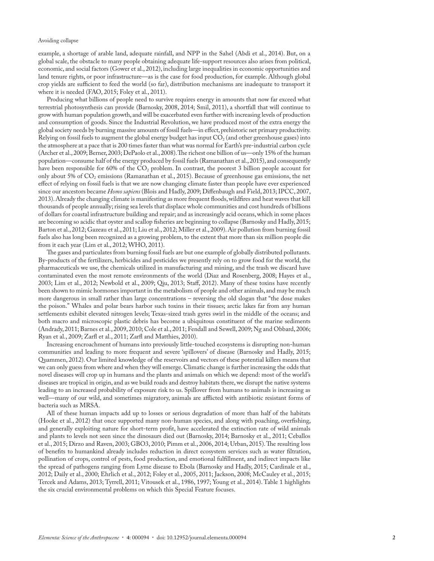example, a shortage of arable land, adequate rainfall, and NPP in the Sahel (Abdi et al., 2014). But, on a global scale, the obstacle to many people obtaining adequate life-support resources also arises from political, economic, and social factors (Gower et al., 2012), including large inequalities in economic opportunities and land tenure rights, or poor infrastructure—as is the case for food production, for example. Although global crop yields are sufficient to feed the world (so far), distribution mechanisms are inadequate to transport it where it is needed (FAO, 2015; Foley et al., 2011).

Producing what billions of people need to survive requires energy in amounts that now far exceed what terrestrial photosynthesis can provide (Barnosky, 2008, 2014; Smil, 2011), a shortfall that will continue to grow with human population growth, and will be exacerbated even further with increasing levels of production and consumption of goods. Since the Industrial Revolution, we have produced most of the extra energy the global society needs by burning massive amounts of fossil fuels—in effect, prehistoric net primary productivity. Relying on fossil fuels to augment the global energy budget has input  $CO<sub>2</sub>$  (and other greenhouse gases) into the atmosphere at a pace that is 200 times faster than what was normal for Earth's pre-industrial carbon cycle (Archer et al., 2009; Berner, 2003; DePaolo et al., 2008). The richest one billion of us—only 15% of the human population—consume half of the energy produced by fossil fuels (Ramanathan et al., 2015), and consequently have been responsible for 60% of the  $CO<sub>2</sub>$  problem. In contrast, the poorest 3 billion people account for only about 5% of CO<sub>2</sub> emissions (Ramanathan et al., 2015). Because of greenhouse gas emissions, the net effect of relying on fossil fuels is that we are now changing climate faster than people have ever experienced since our ancestors became *Homo sapiens* (Blois and Hadly, 2009; Diffenbaugh and Field, 2013; IPCC, 2007, 2013). Already the changing climate is manifesting as more frequent floods, wildfires and heat waves that kill thousands of people annually; rising sea levels that displace whole communities and cost hundreds of billions of dollars for coastal infrastructure building and repair; and as increasingly acid oceans, which in some places are becoming so acidic that oyster and scallop fisheries are beginning to collapse (Barnosky and Hadly, 2015; Barton et al., 2012; Gazeau et al., 2011; Liu et al., 2012; Miller et al., 2009). Air pollution from burning fossil fuels also has long been recognized as a growing problem, to the extent that more than six million people die from it each year (Lim et al., 2012; WHO, 2011).

The gases and particulates from burning fossil fuels are but one example of globally distributed pollutants. By-products of the fertilizers, herbicides and pesticides we presently rely on to grow food for the world, the pharmaceuticals we use, the chemicals utilized in manufacturing and mining, and the trash we discard have contaminated even the most remote environments of the world (Diaz and Rosenberg, 2008; Hayes et al., 2003; Lim et al., 2012; Newbold et al., 2009; Qiu, 2013; Staff, 2012). Many of these toxins have recently been shown to mimic hormones important in the metabolism of people and other animals, and may be much more dangerous in small rather than large concentrations – reversing the old slogan that "the dose makes the poison." Whales and polar bears harbor such toxins in their tissues; arctic lakes far from any human settlements exhibit elevated nitrogen levels; Texas-sized trash gyres swirl in the middle of the oceans; and both macro and microscopic plastic debris has become a ubiquitous constituent of the marine sediments (Andrady, 2011; Barnes et al., 2009, 2010; Cole et al., 2011; Fendall and Sewell, 2009; Ng and Obbard, 2006; Ryan et al., 2009; Zarfl et al., 2011; Zarfl and Matthies, 2010).

Increasing encroachment of humans into previously little-touched ecosystems is disrupting non-human communities and leading to more frequent and severe 'spillovers' of disease (Barnosky and Hadly, 2015; Quammen, 2012). Our limited knowledge of the reservoirs and vectors of these potential killers means that we can only guess from where and when they will emerge. Climatic change is further increasing the odds that novel diseases will crop up in humans and the plants and animals on which we depend: most of the world's diseases are tropical in origin, and as we build roads and destroy habitats there, we disrupt the native systems leading to an increased probability of exposure risk to us. Spillover from humans to animals is increasing as well—many of our wild, and sometimes migratory, animals are afflicted with antibiotic resistant forms of bacteria such as MRSA.

All of these human impacts add up to losses or serious degradation of more than half of the habitats (Hooke et al., 2012) that once supported many non-human species, and along with poaching, overfishing, and generally exploiting nature for short-term profit, have accelerated the extinction rate of wild animals and plants to levels not seen since the dinosaurs died out (Barnosky, 2014; Barnosky et al., 2011; Ceballos et al., 2015; Dirzo and Raven, 2003; GBO3, 2010; Pimm et al., 2006, 2014; Urban, 2015). The resulting loss of benefits to humankind already includes reduction in direct ecosystem services such as water filtration, pollination of crops, control of pests, food production, and emotional fulfillment, and indirect impacts like the spread of pathogens ranging from Lyme disease to Ebola (Barnosky and Hadly, 2015; Cardinale et al., 2012; Daily et al., 2000; Ehrlich et al., 2012; Foley et al., 2005, 2011; Jackson, 2008; McCauley et al., 2015; Tercek and Adams, 2013; Tyrrell, 2011; Vitousek et al., 1986, 1997; Young et al., 2014). Table 1 highlights the six crucial environmental problems on which this Special Feature focuses.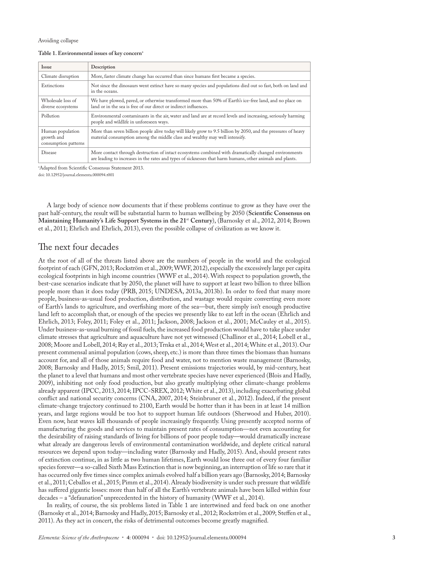## **Table 1. Environmental issues of key concern**<sup>a</sup>

| <b>Issue</b>                                           | Description                                                                                                                                                                                                        |
|--------------------------------------------------------|--------------------------------------------------------------------------------------------------------------------------------------------------------------------------------------------------------------------|
| Climate disruption                                     | More, faster climate change has occurred than since humans first became a species.                                                                                                                                 |
| Extinctions                                            | Not since the dinosaurs went extinct have so many species and populations died out so fast, both on land and<br>in the oceans.                                                                                     |
| Wholesale loss of<br>diverse ecosystems                | We have plowed, paved, or otherwise transformed more than 50% of Earth's ice-free land, and no place on<br>land or in the sea is free of our direct or indirect influences.                                        |
| Pollution                                              | Environmental contaminants in the air, water and land are at record levels and increasing, seriously harming<br>people and wildlife in unforeseen ways.                                                            |
| Human population<br>growth and<br>consumption patterns | More than seven billion people alive today will likely grow to 9.5 billion by 2050, and the pressures of heavy<br>material consumption among the middle class and wealthy may well intensify.                      |
| <b>Disease</b>                                         | More contact through destruction of intact ecosystems combined with dramatically changed environments<br>are leading to increases in the rates and types of sicknesses that harm humans, other animals and plants. |

a Adapted from Scientific Consensus Statement 2013.

doi: 10.12952/journal.elementa.000094.t001

A large body of science now documents that if these problems continue to grow as they have over the past half-century, the result will be substantial harm to human wellbeing by 2050 (**Scientific Consensus on Maintaining Humanity's Life Support Systems in the 21**st **Century**), (Barnosky et al., 2012, 2014; Brown et al., 2011; Ehrlich and Ehrlich, 2013), even the possible collapse of civilization as we know it.

# The next four decades

At the root of all of the threats listed above are the numbers of people in the world and the ecological footprint of each (GFN, 2013; Rockström et al., 2009; WWF, 2012), especially the excessively large per capita ecological footprints in high income countries (WWF et al., 2014). With respect to population growth, the best-case scenarios indicate that by 2050, the planet will have to support at least two billion to three billion people more than it does today (PRB, 2015; UNDESA, 2013a, 2013b). In order to feed that many more people, business-as-usual food production, distribution, and wastage would require converting even more of Earth's lands to agriculture, and overfishing more of the sea—but, there simply isn't enough productive land left to accomplish that, or enough of the species we presently like to eat left in the ocean (Ehrlich and Ehrlich, 2013; Foley, 2011; Foley et al., 2011; Jackson, 2008; Jackson et al., 2001; McCauley et al., 2015). Under business-as-usual burning of fossil fuels, the increased food production would have to take place under climate stresses that agriculture and aquaculture have not yet witnessed (Challinor et al., 2014; Lobell et al., 2008; Moore and Lobell, 2014; Ray et al., 2013; Trnka et al., 2014; West et al., 2014; White et al., 2013). Our present commensal animal population (cows, sheep, etc.) is more than three times the biomass than humans account for, and all of those animals require food and water, not to mention waste management (Barnosky, 2008; Barnosky and Hadly, 2015; Smil, 2011). Present emissions trajectories would, by mid-century, heat the planet to a level that humans and most other vertebrate species have never experienced (Blois and Hadly, 2009), inhibiting not only food production, but also greatly multiplying other climate-change problems already apparent (IPCC, 2013, 2014; IPCC-SREX, 2012; White et al., 2013), including exacerbating global conflict and national security concerns (CNA, 2007, 2014; Steinbruner et al., 2012). Indeed, if the present climate-change trajectory continued to 2100, Earth would be hotter than it has been in at least 14 million years, and large regions would be too hot to support human life outdoors (Sherwood and Huber, 2010). Even now, heat waves kill thousands of people increasingly frequently. Using presently accepted norms of manufacturing the goods and services to maintain present rates of consumption—not even accounting for the desirability of raising standards of living for billions of poor people today—would dramatically increase what already are dangerous levels of environmental contamination worldwide, and deplete critical natural resources we depend upon today—including water (Barnosky and Hadly, 2015). And, should present rates of extinction continue, in as little as two human lifetimes, Earth would lose three out of every four familiar species forever—a so-called Sixth Mass Extinction that is now beginning, an interruption of life so rare that it has occurred only five times since complex animals evolved half a billion years ago (Barnosky, 2014; Barnosky et al., 2011; Ceballos et al., 2015; Pimm et al., 2014). Already biodiversity is under such pressure that wildlife has suffered gigantic losses: more than half of all the Earth's vertebrate animals have been killed within four decades – a "defaunation" unprecedented in the history of humanity (WWF et al., 2014).

In reality, of course, the six problems listed in Table 1 are intertwined and feed back on one another (Barnosky et al., 2014; Barnosky and Hadly, 2015; Barnosky et al., 2012; Rockström et al., 2009; Steffen et al., 2011). As they act in concert, the risks of detrimental outcomes become greatly magnified.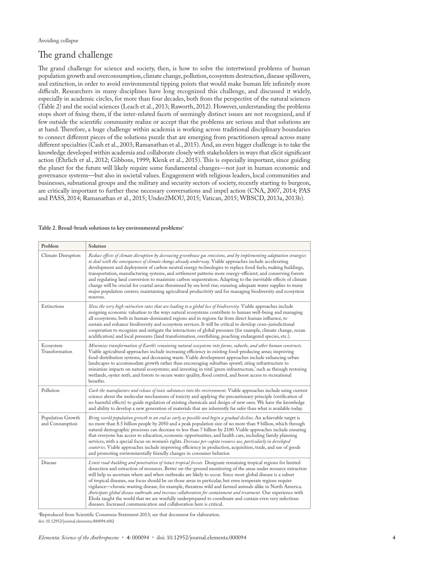# The grand challenge

The grand challenge for science and society, then, is how to solve the intertwined problems of human population growth and overconsumption, climate change, pollution, ecosystem destruction, disease spillovers, and extinction, in order to avoid environmental tipping points that would make human life infinitely more difficult. Researchers in many disciplines have long recognized this challenge, and discussed it widely, especially in academic circles, for more than four decades, both from the perspective of the natural sciences (Table 2) and the social sciences (Leach et al., 2013; Raworth, 2012). However, understanding the problems stops short of fixing them, if the inter-related facets of seemingly distinct issues are not recognized, and if few outside the scientific community realize or accept that the problems are serious and that solutions are at hand. Therefore, a huge challenge within academia is working across traditional disciplinary boundaries to connect different pieces of the solutions puzzle that are emerging from practitioners spread across many different specialties (Cash et al., 2003; Ramanathan et al., 2015). And, an even bigger challenge is to take the knowledge developed within academia and collaborate closely with stakeholders in ways that elicit significant action (Ehrlich et al., 2012; Gibbons, 1999; Klenk et al., 2015). This is especially important, since guiding the planet for the future will likely require some fundamental changes—not just in human economic and governance systems—but also in societal values. Engagement with religious leaders, local communities and businesses, subnational groups and the military and security sectors of society, recently starting to burgeon, are critically important to further these necessary conversations and impel action (CNA, 2007, 2014; PAS and PASS, 2014; Ramanathan et al., 2015; Under2MOU, 2015; Vatican, 2015; WBSCD, 2013a, 2013b).

#### **Table 2. Broad-brush solutions to key environmental problems**<sup>a</sup>

| Problem                              | Solution                                                                                                                                                                                                                                                                                                                                                                                                                                                                                                                                                                                                                                                                                                                                                                                                                                                                              |
|--------------------------------------|---------------------------------------------------------------------------------------------------------------------------------------------------------------------------------------------------------------------------------------------------------------------------------------------------------------------------------------------------------------------------------------------------------------------------------------------------------------------------------------------------------------------------------------------------------------------------------------------------------------------------------------------------------------------------------------------------------------------------------------------------------------------------------------------------------------------------------------------------------------------------------------|
| Climate Disruption                   | Reduce effects of climate disruption by decreasing greenhouse gas emissions, and by implementing adaptation strategies<br>to deal with the consequences of climate change already underway. Viable approaches include accelerating<br>development and deployment of carbon neutral energy technologies to replace fossil fuels; making buildings,<br>transportation, manufacturing systems, and settlement patterns more energy-efficient; and conserving forests<br>and regulating land conversion to maximize carbon sequestration. Adapting to the inevitable effects of climate<br>change will be crucial for coastal areas threatened by sea level rise; ensuring adequate water supplies to many<br>major population centers; maintaining agricultural productivity and for managing biodiversity and ecosystem<br>reserves.                                                    |
| Extinctions                          | Slow the very high extinction rates that are leading to a global loss of biodiversity. Viable approaches include<br>assigning economic valuation to the ways natural ecosystems contribute to human well-being and managing<br>all ecosystems, both in human-dominated regions and in regions far from direct human influence, to<br>sustain and enhance biodiversity and ecosystem services. It will be critical to develop cross-jurisdictional<br>cooperation to recognize and mitigate the interactions of global pressures (for example, climate change, ocean<br>acidification) and local pressures (land transformation, overfishing, poaching endangered species, etc.).                                                                                                                                                                                                      |
| Ecosystem<br>Transformation          | Minimize transformation of Earth's remaining natural ecosystems into farms, suburbs, and other human constructs.<br>Viable agricultural approaches include increasing efficiency in existing food-producing areas; improving<br>food-distribution systems; and decreasing waste. Viable development approaches include enhancing urban<br>landscapes to accommodate growth rather than encouraging suburban sprawl; siting infrastructure to<br>minimize impacts on natural ecosystems; and investing in vital 'green infrastructure,' such as through restoring<br>wetlands, oyster reefs, and forests to secure water quality, flood control, and boost access to recreational<br>benefits.                                                                                                                                                                                         |
| Pollution                            | Curb the manufacture and release of toxic substances into the environment. Viable approaches include using current<br>science about the molecular mechanisms of toxicity and applying the precautionary principle (verification of<br>no harmful effects) to guide regulation of existing chemicals and design of new ones. We have the knowledge<br>and ability to develop a new generation of materials that are inherently far safer than what is available today.                                                                                                                                                                                                                                                                                                                                                                                                                 |
| Population Growth<br>and Consumption | Bring world population growth to an end as early as possible and begin a gradual decline. An achievable target is<br>no more than 8.5 billion people by 2050 and a peak population size of no more than 9 billion, which through<br>natural demographic processes can decrease to less than 7 billion by 2100. Viable approaches include ensuring<br>that everyone has access to education, economic opportunities, and health care, including family planning<br>services, with a special focus on women's rights. Decrease per-capita resource use, particularly in developed<br>countries. Viable approaches include improving efficiency in production, acquisition, trade, and use of goods<br>and promoting environmentally friendly changes in consumer behavior.                                                                                                              |
| Disease                              | Limit road-building and penetration of intact tropical forests. Designate remaining tropical regions for limited<br>dissection and extraction of resources. Better on-the-ground monitoring of the areas under resource extraction<br>will help us ascertain where and when outbreaks are likely to occur. Since most global disease is a subset<br>of tropical diseases, our focus should be on those areas in particular, but even temperate regions require<br>vigilance—chronic wasting disease, for example, threatens wild and farmed animals alike in North America.<br>Anticipate global disease outbreaks and increase collaboration for containment and treatment. Our experience with<br>Ebola taught the world that we are woefully underprepared to coordinate and contain even very infectious<br>diseases. Increased communication and collaboration here is critical. |

a Reproduced from Scientific Consensus Statement 2013; see that document for elaboration. doi: 10.12952/journal.elementa.000094.t002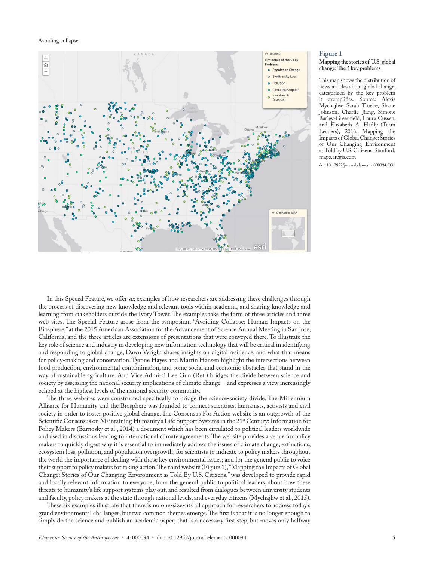

## **Figure 1**

#### **Mapping the stories of U.S. global change: The 5 key problems**

This map shows the distribution of news articles about global change, categorized by the key problem it exemplifies. Source: Alexis Mychajliw, Sarah Truebe, Shane Johnson, Charlie Jiang, Simone Barley-Greenfield, Laura Cussen, and Elizabeth A. Hadly (Team Leaders), 2016, Mapping the Impacts of Global Change: Stories of Our Changing Environment as Told by U.S. Citizens. Stanford. maps.arcgis.com

doi: 10.12952/journal.elementa.000094.f001

In this Special Feature, we offer six examples of how researchers are addressing these challenges through the process of discovering new knowledge and relevant tools within academia, and sharing knowledge and learning from stakeholders outside the Ivory Tower. The examples take the form of three articles and three web sites. The Special Feature arose from the symposium "Avoiding Collapse: Human Impacts on the Biosphere," at the 2015 American Association for the Advancement of Science Annual Meeting in San Jose, California, and the three articles are extensions of presentations that were conveyed there. To illustrate the key role of science and industry in developing new information technology that will be critical in identifying and responding to global change, Dawn Wright shares insights on digital resilience, and what that means for policy-making and conservation. Tyrone Hayes and Martin Hansen highlight the intersections between food production, environmental contamination, and some social and economic obstacles that stand in the way of sustainable agriculture. And Vice Admiral Lee Gun (Ret.) bridges the divide between science and society by assessing the national security implications of climate change—and expresses a view increasingly echoed at the highest levels of the national security community.

The three websites were constructed specifically to bridge the science-society divide. The Millennium Alliance for Humanity and the Biosphere was founded to connect scientists, humanists, activists and civil society in order to foster positive global change. The Consensus For Action website is an outgrowth of the Scientific Consensus on Maintaining Humanity's Life Support Systems in the 21<sup>st</sup> Century: Information for Policy Makers (Barnosky et al., 2014) a document which has been circulated to political leaders worldwide and used in discussions leading to international climate agreements. The website provides a venue for policy makers to quickly digest why it is essential to immediately address the issues of climate change, extinctions, ecosystem loss, pollution, and population overgrowth; for scientists to indicate to policy makers throughout the world the importance of dealing with those key environmental issues; and for the general public to voice their support to policy makers for taking action. The third website (Figure 1), "Mapping the Impacts of Global Change: Stories of Our Changing Environment as Told By U.S. Citizens," was developed to provide rapid and locally relevant information to everyone, from the general public to political leaders, about how these threats to humanity's life support systems play out, and resulted from dialogues between university students and faculty, policy makers at the state through national levels, and everyday citizens (Mychajliw et al., 2015).

These six examples illustrate that there is no one-size-fits all approach for researchers to address today's grand environmental challenges, but two common themes emerge. The first is that it is no longer enough to simply do the science and publish an academic paper; that is a necessary first step, but moves only halfway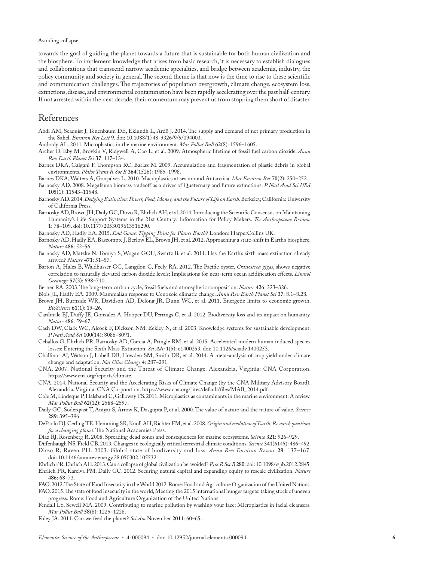towards the goal of guiding the planet towards a future that is sustainable for both human civilization and the biosphere. To implement knowledge that arises from basic research, it is necessary to establish dialogues and collaborations that transcend narrow academic specialties, and bridge between academia, industry, the policy community and society in general. The second theme is that now is the time to rise to these scientific and communication challenges. The trajectories of population overgrowth, climate change, ecosystem loss, extinctions, disease, and environmental contamination have been rapidly accelerating over the past half-century. If not arrested within the next decade, their momentum may prevent us from stopping them short of disaster.

# References

Abdi AM, Seaquist J, Tenenbaum DE, Eklundh L, Ardö J. 2014. The supply and demand of net primary production in the Sahel. *Environ Res Lett* **9**. doi: 10.1088/1748-9326/9/9/094003.

Andrady AL. 2011. Microplastics in the marine environment. *Mar Pollut Bull* **62**(8): 1596–1605.

- Archer D, Eby M, Brovkin V, Ridgwell A, Cao L, et al. 2009. Atmospheric lifetime of fossil fuel carbon dioxide. *Annu Rev Earth Planet Sci* **37**: 117–134.
- Barnes DKA, Galgani F, Thompson RC, Barlaz M. 2009. Accumulation and fragmentation of plastic debris in global environments. *Philos Trans R Soc B* **364**(1526): 1985–1998.
- Barnes DKA, Walters A, Gonçalves L. 2010. Macroplastics at sea around Antarctica. *Mar Environ Res* **70**(2): 250–252.

Barnosky AD. 2008. Megafauna biomass tradeoff as a driver of Quaternary and future extinctions. *P Natl Acad Sci USA* **105**(1): 11543–11548.

- Barnosky AD. 2014. *Dodging Extinction: Power, Food, Money, and the Future of Life on Earth*. Berkeley, California: University of California Press.
- Barnosky AD, Brown JH, Daily GC, Dirzo R, Ehrlich AH, et al. 2014. Introducing the Scientific Consensus on Maintaining Humanity's Life Support Systems in the 21st Century: Information for Policy Makers. *The Anthropocene Review* **1**: 78–109. doi: 10.1177/2053019613516290.
- Barnosky AD, Hadly EA. 2015. *End Game: Tipping Point for Planet Earth?* London: HarperCollins UK.
- Barnosky AD, Hadly EA, Bascompte J, Berlow EL, Brown JH, et al. 2012. Approaching a state-shift in Earth's biosphere. *Nature* **486**: 52–56.
- Barnosky AD, Matzke N, Tomiya S, Wogan GOU, Swartz B, et al. 2011. Has the Earth's sixth mass extinction already arrived? *Nature* **471**: 51–57.
- Barton A, Hales B, Waldbusser GG, Langdon C, Feely RA. 2012. The Pacific oyster, *Crassostrea gigas*, shows negative correlation to naturally elevated carbon dioxide levels: Implications for near-term ocean acidification effects. *Limnol Oceanogr* **57**(3): 698–710.
- Berner RA. 2003. The long-term carbon cycle, fossil fuels and atmospheric composition. *Nature* **426**: 323–326.
- Blois JL, Hadly EA. 2009. Mammalian response to Cenozoic climatic change. *Annu Rev Earth Planet Sci* **37**: 8.1–8.28.
- Brown JH, Burnside WR, Davidson AD, Delong JR, Dunn WC, et al. 2011. Energetic limits to economic growth. *BioScience* **61**(1): 19–26.
- Cardinale BJ, Duffy JE, Gonzalez A, Hooper DU, Perrings C, et al. 2012. Biodiversity loss and its impact on humanity. *Nature* **486**: 59–67.
- Cash DW, Clark WC, Alcock F, Dickson NM, Eckley N, et al. 2003. Knowledge systems for sustainable development. *P Natl Acad Sci* **100**(14): 8086–8091.
- Ceballos G, Ehrlich PR, Barnosky AD, García A, Pringle RM, et al. 2015. Accelerated modern human induced species losses: Entering the Sixth Mass Extinction. *Sci Adv* **1**(5): e1400253. doi: 10.1126/sciadv.1400253.
- Challinor AJ, Watson J, Lobell DB, Howden SM, Smith DR, et al. 2014. A meta-analysis of crop yield under climate change and adaptation. *Nat Clim Change* **4**: 287–291.
- CNA. 2007. National Security and the Threat of Climate Change. Alexandria, Virginia: CNA Corporation. https://www.cna.org/reports/climate.
- CNA. 2014. National Security and the Accelerating Risks of Climate Change (by the CNA Military Advisory Board). Alexandria, Virginia: CNA Corporation. https://www.cna.org/sites/default/files/MAB\_2014.pdf.
- Cole M, Lindeque P, Halsband C, Galloway TS. 2011. Microplastics as contaminants in the marine environment: A review. *Mar Pollut Bull* **62**(12): 2588–2597.
- Daily GC, Söderqvist T, Aniyar S, Arrow K, Dasgupta P, et al. 2000. The value of nature and the nature of value. *Science* **289**: 395–396.
- DePaolo DJ, Cerling TE, Hemming SR, Knoll AH, Richter FM, et al. 2008. *Origin and evolution of Earth: Research questions for a changing planet*. The National Academies Press.
- Diaz RJ, Rosenberg R. 2008. Spreading dead zones and consequences for marine ecosystems. *Science* **321**: 926–929.
- Diffenbaugh NS, Field CB. 2013. Changes in ecologically critical terrestrial climate conditions. *Science* **341**(6145): 486–492.

Dirzo R, Raven PH. 2003. Global state of biodiversity and loss. *Annu Rev Environ Resour* **28**: 137–167. doi: 10.1146/annurev.energy.28.050302.105532.

Ehrlich PR, Ehrlich AH. 2013. Can a collapse of global civilization be avoided? *Proc R Soc B* **280**: doi: 10.1098/rspb.2012.2845. Ehrlich PR, Kareiva PM, Daily GC. 2012. Securing natural capital and expanding equity to rescale civilization. *Nature* **486**: 68–73.

FAO. 2012. The State of Food Insecurity in the World 2012. Rome: Food and Agriculture Organization of the United Nations. FAO. 2015. The state of food insecurity in the world, Meeting the 2015 international hunger targets: taking stock of uneven progress. Rome: Food and Agriculture Organization of the United Nations.

- Fendall LS, Sewell MA. 2009. Contributing to marine pollution by washing your face: Microplastics in facial cleansers. *Mar Pollut Bull* **58**(8): 1225–1228.
- Foley JA. 2011. Can we feed the planet? *Sci Am* November **2011**: 60–65.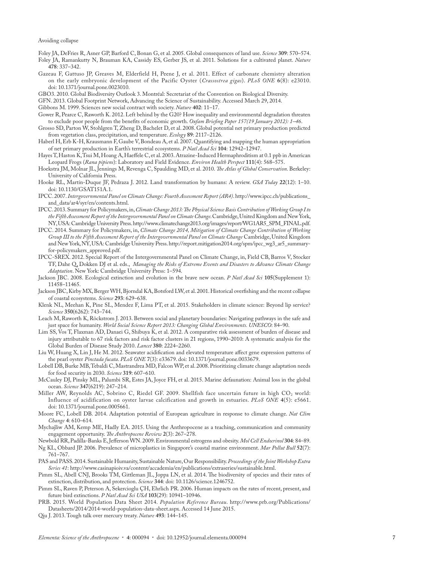- Foley JA, DeFries R, Asner GP, Barford C, Bonan G, et al. 2005. Global consequences of land use. *Science* **309**: 570–574.
- Foley JA, Ramankutty N, Brauman KA, Cassidy ES, Gerber JS, et al. 2011. Solutions for a cultivated planet. *Nature* **478**: 337–342.
- Gazeau F, Gattuso JP, Greaves M, Elderfield H, Peene J, et al. 2011. Effect of carbonate chemistry alteration on the early embryonic development of the Pacific Oyster (*Crassostrea gigas*). *PLoS ONE* **6**(8): e23010. doi: 10.1371/journal.pone.0023010.
- GBO3. 2010. Global Biodiversity Outlook 3. Montréal: Secretariat of the Convention on Biological Diversity.
- GFN. 2013. Global Footprint Network, Advancing the Science of Sustainability. Accessed March 29, 2014.

Gibbons M. 1999. Sciences new social contract with society. *Nature* **402**: 11–17.

- Gower R, Pearce C, Raworth K. 2012. Left behind by the G20? How inequality and environmental degradation threaten to exclude poor people from the benefits of economic growth. *Oxfam Briefing Paper 157(19 January 2012): 1–46* .
- Grosso SD, Parton W, Stohlgren T, Zheng D, Bachelet D, et al. 2008. Global potential net primary production predicted from vegetation class, precipitation, and temperature. *Ecology* **89**: 2117–2126.
- Haberl H, Erb K-H, Krausmann F, Gaube V, Bondeau A, et al. 2007. Quantifying and mapping the human appropriation of net primary production in Earth's terrestrial ecosystems. *P Natl Acad Sci* **104**: 12942–12947.
- Hayes T, Haston K, Tsui M, Hoang A, Haeffele C, et al. 2003. Atrazine-Induced Hermaphroditism at 0.1 ppb in American Leopard Frogs (*Rana pipiens*): Laboratory and Field Evidence. *Environ Health Perspect* **111**(4): 568–575.
- Hoekstra JM, Molnar JL, Jennings M, Revenga C, Spaulding MD, et al. 2010. *The Atlas of Global Conservation*. Berkeley: University of California Press.
- Hooke RL, Martín-Duque JF, Pedraza J. 2012. Land transformation by humans: A review. *GSA Today* **22**(12): 1–10. doi: 10.1130/GSAT151A.1.
- IPCC. 2007. *Intergovernmental Panel on Climate Change: Fourth Assessment Report (AR4)*. http://www.ipcc.ch/publications\_ and\_data/ar4/syr/en/contents.html.
- IPCC. 2013. Summary for Policymakers, in, *Climate Change 2013: The Physical Science Basis Contribution of Working Group I to the Fifth Assessment Report of the Intergovernmental Panel on Climate Change*. Cambridge, United Kingdom and New York, NY, USA: Cambridge University Press. http://www.climatechange2013.org/images/report/WG1AR5\_SPM\_FINAL.pdf.
- IPCC. 2014. Summary for Policymakers, in, *Climate Change 2014, Mitigation of Climate Change Contribution of Working Group III to the Fifth Assessment Report of the Intergovernmental Panel on Climate Change* Cambridge, United Kingdom and New York, NY, USA: Cambridge University Press. http://report.mitigation2014.org/spm/ipcc\_wg3\_ar5\_summaryfor-policymakers\_approved.pdf.
- IPCC-SREX. 2012. Special Report of the Intergovernmental Panel on Climate Change, in, Field CB, Barros V, Stocker TF, Dahe Q, Dokken DJ et al. eds., *Managing the Risks of Extreme Events and Disasters to Advance Climate Change Adaptation*. New York: Cambridge University Press: 1–594.
- Jackson JBC. 2008. Ecological extinction and evolution in the brave new ocean. *P Natl Acad Sci* **105**(Supplement 1): 11458–11465.
- Jackson JBC, Kirby MX, Berger WH, Bjorndal KA, Botsford LW, et al. 2001. Historical overfishing and the recent collapse of coastal ecosystems. *Science* **293**: 629–638.
- Klenk NL, Meehan K, Pine SL, Mendez F, Lima PT, et al. 2015. Stakeholders in climate science: Beyond lip service? *Science* **350**(6262): 743–744.
- Leach M, Raworth K, Röckstrom J. 2013. Between social and planetary boundaries: Navigating pathways in the safe and just space for humanity. *World Social Science Report 2013: Changing Global Environments. UNESCO*: 84–90.
- Lim SS, Vos T, Flaxman AD, Danaei G, Shibuya K, et al. 2012. A comparative risk assessment of burden of disease and injury attributable to 67 risk factors and risk factor clusters in 21 regions, 1990–2010: A systematic analysis for the Global Burden of Disease Study 2010. *Lancet* **380**: 2224–2260.
- Liu W, Huang X, Lin J, He M. 2012. Seawater acidification and elevated temperature affect gene expression patterns of the pearl oyster *Pinctada fucata*. *PLoS ONE* **7**(3): e33679. doi: 10.1371/journal.pone.0033679.
- Lobell DB, Burke MB, Tebaldi C, Mastrandrea MD, Falcon WP, et al. 2008. Prioritizing climate change adaptation needs for food security in 2030. *Science* **319**: 607–610.
- McCauley DJ, Pinsky ML, Palumbi SR, Estes JA, Joyce FH, et al. 2015. Marine defaunation: Animal loss in the global ocean. *Science* **347**(6219): 247–214.
- Miller AW, Reynolds AC, Sobrino C, Riedel GF. 2009. Shellfish face uncertain future in high  $CO<sub>2</sub>$  world: Influence of acidification on oyster larvae calcification and growth in estuaries. *PLoS ONE* **4**(5): e5661. doi: 10.1371/journal.pone.0005661.
- Moore FC, Lobell DB. 2014. Adaptation potential of European agriculture in response to climate change. *Nat Clim Change* **4**: 610–614.
- Mychajliw AM, Kemp ME, Hadly EA. 2015. Using the Anthropocene as a teaching, communication and community engagement opportunity. *The Anthropocene Review* **2**(3): 267–278.
- Newbold RR, Padilla-Banks E, Jefferson WN. 2009. Environmental estrogens and obesity. *Mol Cell Endocrinol* **304**: 84–89. Ng KL, Obbard JP. 2006. Prevalence of microplastics in Singapore's coastal marine environment. *Mar Pollut Bull* **52**(7): 761–767.
- PAS and PASS. 2014. Sustainable Humanity, Sustainable Nature, Our Responsibility. *Proceedings of the Joint Workshop Extra Series 41*: http://www.casinapioiv.va/content/accademia/en/publications/extraseries/sustainable.html.
- Pimm SL, Abell CNJ, Brooks TM, Gittleman JL, Joppa LN, et al. 2014. The biodiversity of species and their rates of extinction, distribution, and protection. *Science* **344**: doi: 10.1126/science.1246752.
- Pimm SL, Raven P, Peterson A, Sekercioglu ÇH, Ehrlich PR. 2006. Human impacts on the rates of recent, present, and future bird extinctions. *P Natl Acad Sci USA* **103**(29): 10941–10946.
- PRB. 2015. World Population Data Sheet 2014. *Population Reference Bureau*. http://www.prb.org/Publications/ Datasheets/2014/2014-world-population-data-sheet.aspx. Accessed 14 June 2015.
- Qiu J. 2013. Tough talk over mercury treaty. *Nature* **493**: 144–145.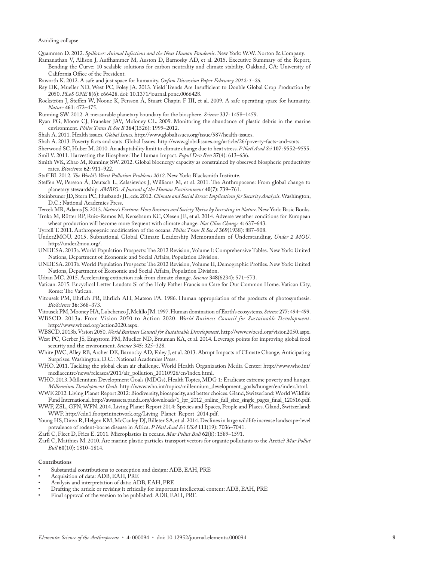Quammen D. 2012. *Spillover: Animal Infections and the Next Human Pandemic*. New York: W.W. Norton & Company.

- Ramanathan V, Allison J, Auffhammer M, Auston D, Barnosky AD, et al. 2015. Executive Summary of the Report, Bending the Curve: 10 scalable solutions for carbon neutrality and climate stability. Oakland, CA: University of California Office of the President.
- Raworth K. 2012. A safe and just space for humanity. *Oxfam Discussion Paper February 2012: 1–26*.
- Ray DK, Mueller ND, West PC, Foley JA. 2013. Yield Trends Are Insufficient to Double Global Crop Production by 2050. *PLoS ONE* **8**(6): e66428. doi: 10.1371/journal.pone.0066428.
- Rockström J, Steffen W, Noone K, Persson Å, Stuart Chapin F III, et al. 2009. A safe operating space for humanity. *Nature* **461**: 472–475.

Running SW. 2012. A measurable planetary boundary for the biosphere. *Science* **337**: 1458–1459.

Ryan PG, Moore CJ, Franeker JAV, Moloney CL. 2009. Monitoring the abundance of plastic debris in the marine environment. *Philos Trans R Soc B* **364**(1526): 1999–2012.

Shah A. 2011. Health issues. *Global Issues*. http://www.globalissues.org/issue/587/health-issues.

- Shah A. 2013. Poverty facts and stats. Global Issues. http://www.globalissues.org/article/26/poverty-facts-and-stats.
- Sherwood SC, Huber M. 2010. An adaptability limit to climate change due to heat stress. *P Natl Acad Sci* **107**: 9552–9555. Smil V. 2011. Harvesting the Biosphere: The Human Impact. *Popul Dev Rev* **37**(4): 613–636.
- Smith WK, Zhao M, Running SW. 2012. Global bioenergy capacity as constrained by observed biospheric productivity rates. *Bioscience* **62**: 911–922.

Staff BI. 2012. *The World's Worst Pollution Problems 2012*. New York: Blacksmith Institute.

- Steffen W, Persson Å, Deutsch L, Zalasiewicz J, Williams M, et al. 2011. The Anthropocene: From global change to planetary stewardship. *AMBIO: A Journal of the Human Environment* **40**(7): 739–761.
- Steinbruner JD, Stern PC, Husbands JL, eds. 2012. *Climate and Social Stress: Implications for Security Analysis*. Washington, D.C.: National Academies Press.
- Tercek MR, Adams JS. 2013. *Nature's Fortune: How Business and Society Thrive by Investing in Nature*. New York: Basic Books. Trnka M, Rötter RP, Ruiz-Ramos M, Kersebaum KC, Olesen JE, et al. 2014. Adverse weather conditions for European

wheat production will become more frequent with climate change. *Nat Clim Change* **4**: 637–643.

Tyrrell T. 2011. Anthropogenic modification of the oceans. *Philos Trans R Soc A* **369**(1938): 887–908.

Under2MOU. 2015. Subnational Global Climate Leadership Memorandum of Understanding. *Under 2 MOU*. http://under2mou.org/.

- UNDESA. 2013a. World Population Prospects: The 2012 Revision, Volume I: Comprehensive Tables. New York: United Nations, Department of Economic and Social Affairs, Population Division.
- UNDESA. 2013b. World Population Prospects: The 2012 Revision, Volume II, Demographic Profiles. New York: United Nations, Department of Economic and Social Affairs, Population Division.

Urban MC. 2015. Accelerating extinction risk from climate change. *Science* **348**(6234): 571–573.

- Vatican. 2015. Encyclical Letter Laudato Si of the Holy Father Francis on Care for Our Common Home. Vatican City, Rome: The Vatican.
- Vitousek PM, Ehrlich PR, Ehrlich AH, Matson PA. 1986. Human appropriation of the products of photosynthesis. *BioScience* **36**: 368–373.
- Vitousek PM, Mooney HA, Lubchenco J, Melillo JM. 1997. Human domination of Earth's ecosystems. *Science* **277**: 494–499.
- WBSCD. 2013a. From Vision 2050 to Action 2020. *World Business Council for Sustainable Development*. http://www.wbcsd.org/action2020.aspx.

WBSCD. 2013b. Vision 2050. *World Business Council for Sustainable Development*. http://www.wbcsd.org/vision2050.aspx. West PC, Gerber JS, Engstrom PM, Mueller ND, Brauman KA, et al. 2014. Leverage points for improving global food

- security and the environment. *Science* **345**: 325–328. White JWC, Alley RB, Archer DE, Barnosky AD, Foley J, et al. 2013. Abrupt Impacts of Climate Change, Anticipating Surprises. Washington, D.C.: National Academies Press.
- WHO. 2011. Tackling the global clean air challenge. World Health Organization Media Center: http://www.who.int/ mediacentre/news/releases/2011/air\_pollution\_20110926/en/index.html.
- WHO. 2013. Millennium Development Goals (MDGs), Health Topics, MDG 1: Eradicate extreme poverty and hunger. *Millennium Development Goals*. http://www.who.int/topics/millennium\_development\_goals/hunger/en/index.html.
- WWF. 2012. Living Planet Report 2012: Biodiversity, biocapacity, and better choices. Gland, Switzerland: World Wildlife Fund International. http://awsassets.panda.org/downloads/1\_lpr\_2012\_online\_full\_size\_single\_pages\_final\_120516.pdf.

WWF, ZSL, GFN, WFN. 2014. Living Planet Report 2014: Species and Spaces, People and Places. Gland, Switzerland: WWF. http://cdn1.footprintnetwork.org/Living\_Planet\_Report\_2014.pdf.

Young HS, Dirzo R, Helgen KM, McCauley DJ, Billeter SA, et al. 2014. Declines in large wildlife increase landscape-level prevalence of rodent-borne disease in Africa. *P Natl Acad Sci USA* **111**(19): 7036–7041.

Zarfl C, Fleet D, Fries E. 2011. Microplastics in oceans. *Mar Pollut Bull* **62**(8): 1589–1591.

Zarfl C, Matthies M. 2010. Are marine plastic particles transport vectors for organic pollutants to the Arctic? *Mar Pollut Bull* **60**(10): 1810–1814.

#### **Contributions**

- Substantial contributions to conception and design: ADB, EAH, PRE
- Acquisition of data: ADB, EAH, PRE
- Analysis and interpretation of data: ADB, EAH, PRE
- Drafting the article or revising it critically for important intellectual content: ADB, EAH, PRE
- Final approval of the version to be published: ADB, EAH, PRE